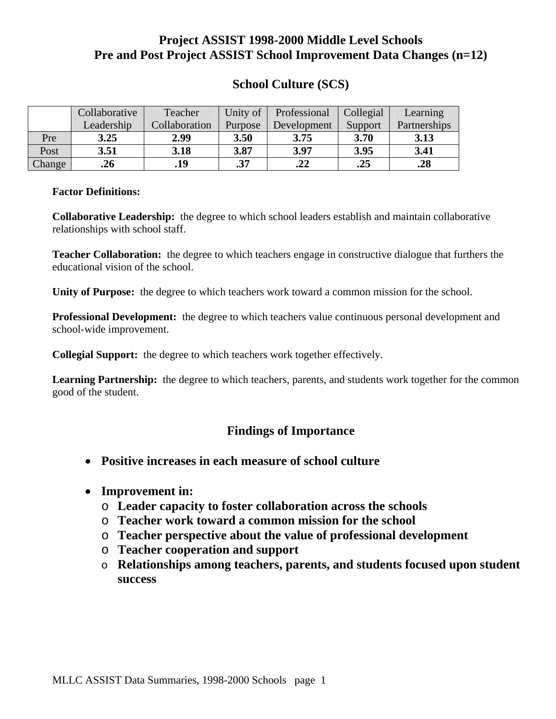# **Project ASSIST 1998-2000 Middle Level Schools Pre and Post Project ASSIST School Improvement Data Changes (n=12)**

|  | <b>School Culture (SCS)</b> |  |
|--|-----------------------------|--|
|--|-----------------------------|--|

|        | Collaborative | Teacher                  | Unity of | Professional | Collegial | Learning     |  |
|--------|---------------|--------------------------|----------|--------------|-----------|--------------|--|
|        | Leadership    | Collaboration<br>Purpose |          | Development  | Support   | Partnerships |  |
| Pre    | 3.25          | 2.99                     | 3.50     | 3.75         | 3.70      | 3.13         |  |
| Post   | 3.51          | 3.18                     |          | 3.97         | 3.95      | 3.41         |  |
| Change | .26           | .19                      | .37      | .22          | .25       | .28          |  |

#### **Factor Definitions:**

**Collaborative Leadership:** the degree to which school leaders establish and maintain collaborative relationships with school staff.

**Teacher Collaboration:** the degree to which teachers engage in constructive dialogue that furthers the educational vision of the school.

**Unity of Purpose:** the degree to which teachers work toward a common mission for the school.

**Professional Development:** the degree to which teachers value continuous personal development and school-wide improvement.

**Collegial Support:** the degree to which teachers work together effectively.

Learning Partnership: the degree to which teachers, parents, and students work together for the common good of the student.

- **Positive increases in each measure of school culture**
- **Improvement in:** 
	- o **Leader capacity to foster collaboration across the schools**
	- o **Teacher work toward a common mission for the school**
	- o **Teacher perspective about the value of professional development**
	- o **Teacher cooperation and support**
	- o **Relationships among teachers, parents, and students focused upon student success**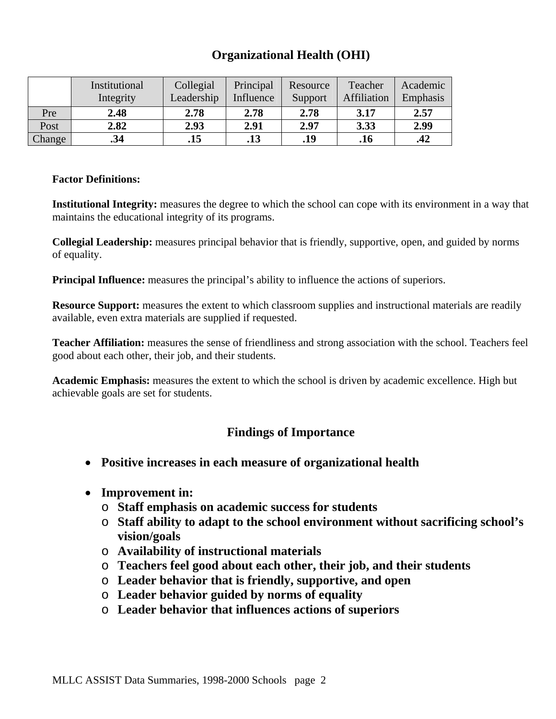## **Organizational Health (OHI)**

|        | Institutional<br>Integrity | Collegial<br>Leadership | Principal<br>Influence | Resource<br>Support | Teacher<br>Affiliation | Academic<br>Emphasis |
|--------|----------------------------|-------------------------|------------------------|---------------------|------------------------|----------------------|
| Pre    | 2.48                       | 2.78                    | 2.78                   | 2.78                | 3.17                   | 2.57                 |
| Post   | 2.82                       | 2.93                    | 2.91                   | 2.97                | 3.33                   | 2.99                 |
| Change | .34                        | .15                     | .13                    | .19                 | .16                    | .42                  |

#### **Factor Definitions:**

**Institutional Integrity:** measures the degree to which the school can cope with its environment in a way that maintains the educational integrity of its programs.

**Collegial Leadership:** measures principal behavior that is friendly, supportive, open, and guided by norms of equality.

**Principal Influence:** measures the principal's ability to influence the actions of superiors.

**Resource Support:** measures the extent to which classroom supplies and instructional materials are readily available, even extra materials are supplied if requested.

**Teacher Affiliation:** measures the sense of friendliness and strong association with the school. Teachers feel good about each other, their job, and their students.

**Academic Emphasis:** measures the extent to which the school is driven by academic excellence. High but achievable goals are set for students.

- **Positive increases in each measure of organizational health**
- **Improvement in:** 
	- o **Staff emphasis on academic success for students**
	- o **Staff ability to adapt to the school environment without sacrificing school's vision/goals**
	- o **Availability of instructional materials**
	- o **Teachers feel good about each other, their job, and their students**
	- o **Leader behavior that is friendly, supportive, and open**
	- o **Leader behavior guided by norms of equality**
	- o **Leader behavior that influences actions of superiors**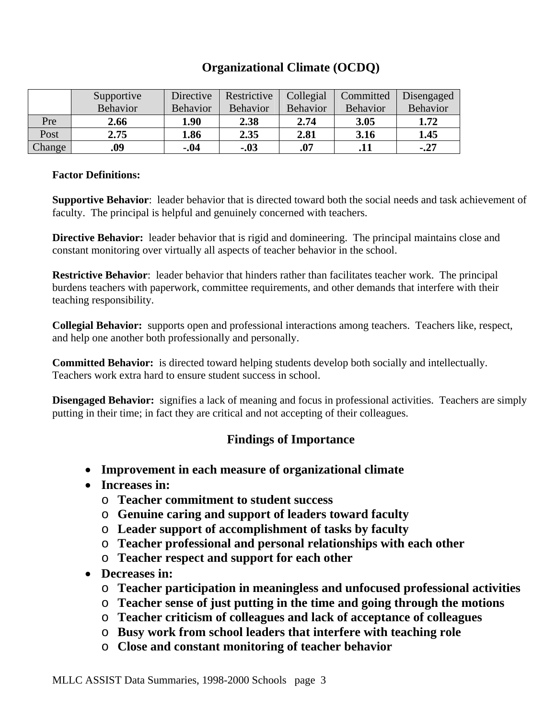## **Organizational Climate (OCDQ)**

|        | Supportive      | Directive       | Restrictive     | Collegial | Committed       | Disengaged |
|--------|-----------------|-----------------|-----------------|-----------|-----------------|------------|
|        | <b>Behavior</b> | <b>Behavior</b> | <b>Behavior</b> | Behavior  | <b>Behavior</b> | Behavior   |
| Pre    | 2.66            | 1.90            | 2.38            | 2.74      | 3.05            | 1.72       |
| Post   | 2.75            | 1.86            | 2.35            | 2.81      | 3.16            | 1.45       |
| Change | .09             | $-.04$          | $-.03$          | .07       | .11             | $-.27$     |

#### **Factor Definitions:**

**Supportive Behavior**: leader behavior that is directed toward both the social needs and task achievement of faculty. The principal is helpful and genuinely concerned with teachers.

**Directive Behavior:** leader behavior that is rigid and domineering. The principal maintains close and constant monitoring over virtually all aspects of teacher behavior in the school.

**Restrictive Behavior**: leader behavior that hinders rather than facilitates teacher work. The principal burdens teachers with paperwork, committee requirements, and other demands that interfere with their teaching responsibility.

**Collegial Behavior:** supports open and professional interactions among teachers. Teachers like, respect, and help one another both professionally and personally.

**Committed Behavior:** is directed toward helping students develop both socially and intellectually. Teachers work extra hard to ensure student success in school.

**Disengaged Behavior:** signifies a lack of meaning and focus in professional activities. Teachers are simply putting in their time; in fact they are critical and not accepting of their colleagues.

- **Improvement in each measure of organizational climate**
- **Increases in:** 
	- o **Teacher commitment to student success**
	- o **Genuine caring and support of leaders toward faculty**
	- o **Leader support of accomplishment of tasks by faculty**
	- o **Teacher professional and personal relationships with each other**
	- o **Teacher respect and support for each other**
- **Decreases in:** 
	- o **Teacher participation in meaningless and unfocused professional activities**
	- o **Teacher sense of just putting in the time and going through the motions**
	- o **Teacher criticism of colleagues and lack of acceptance of colleagues**
	- o **Busy work from school leaders that interfere with teaching role**
	- o **Close and constant monitoring of teacher behavior**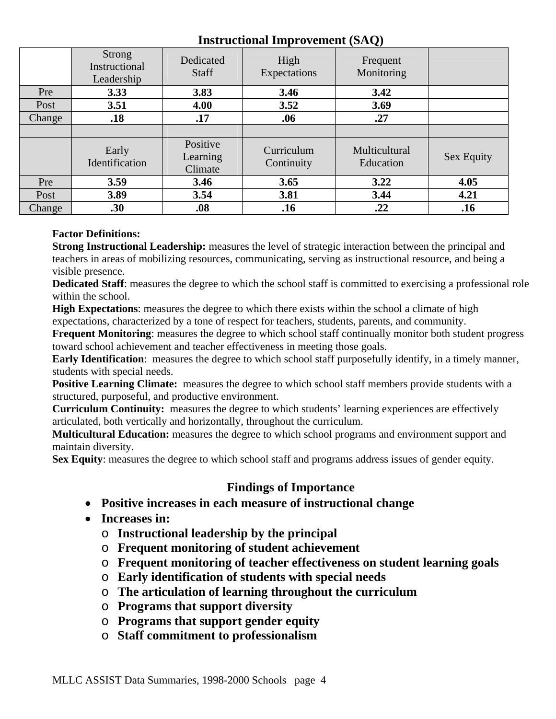### **Instructional Improvement (SAQ)**

|        | Strong<br>Instructional<br>Leadership | Dedicated<br><b>Staff</b>       | High<br>Expectations     | $\tilde{\phantom{a}}$<br>Frequent<br>Monitoring |                   |
|--------|---------------------------------------|---------------------------------|--------------------------|-------------------------------------------------|-------------------|
| Pre    | 3.33                                  | 3.83                            | 3.46                     | 3.42                                            |                   |
| Post   | 3.51                                  | 4.00                            | 3.52                     | 3.69                                            |                   |
| Change | .18                                   | .17<br>.06                      |                          | .27                                             |                   |
|        |                                       |                                 |                          |                                                 |                   |
|        | Early<br>Identification               | Positive<br>Learning<br>Climate | Curriculum<br>Continuity | Multicultural<br>Education                      | <b>Sex Equity</b> |
| Pre    | 3.59                                  | 3.46                            | 3.65                     | 3.22                                            | 4.05              |
| Post   | 3.89                                  | 3.54                            | 3.81                     | 3.44                                            | 4.21              |
| Change | .30                                   | .08                             | .16                      | .22                                             | .16               |

### **Factor Definitions:**

**Strong Instructional Leadership:** measures the level of strategic interaction between the principal and teachers in areas of mobilizing resources, communicating, serving as instructional resource, and being a visible presence.

**Dedicated Staff**: measures the degree to which the school staff is committed to exercising a professional role within the school.

**High Expectations**: measures the degree to which there exists within the school a climate of high expectations, characterized by a tone of respect for teachers, students, parents, and community.

**Frequent Monitoring**: measures the degree to which school staff continually monitor both student progress toward school achievement and teacher effectiveness in meeting those goals.

**Early Identification**: measures the degree to which school staff purposefully identify, in a timely manner, students with special needs.

**Positive Learning Climate:** measures the degree to which school staff members provide students with a structured, purposeful, and productive environment.

**Curriculum Continuity:** measures the degree to which students' learning experiences are effectively articulated, both vertically and horizontally, throughout the curriculum.

**Multicultural Education:** measures the degree to which school programs and environment support and maintain diversity.

**Sex Equity**: measures the degree to which school staff and programs address issues of gender equity.

- **Positive increases in each measure of instructional change**
- **Increases in:** 
	- o **Instructional leadership by the principal**
	- o **Frequent monitoring of student achievement**
	- o **Frequent monitoring of teacher effectiveness on student learning goals**
	- o **Early identification of students with special needs**
	- o **The articulation of learning throughout the curriculum**
	- o **Programs that support diversity**
	- o **Programs that support gender equity**
	- o **Staff commitment to professionalism**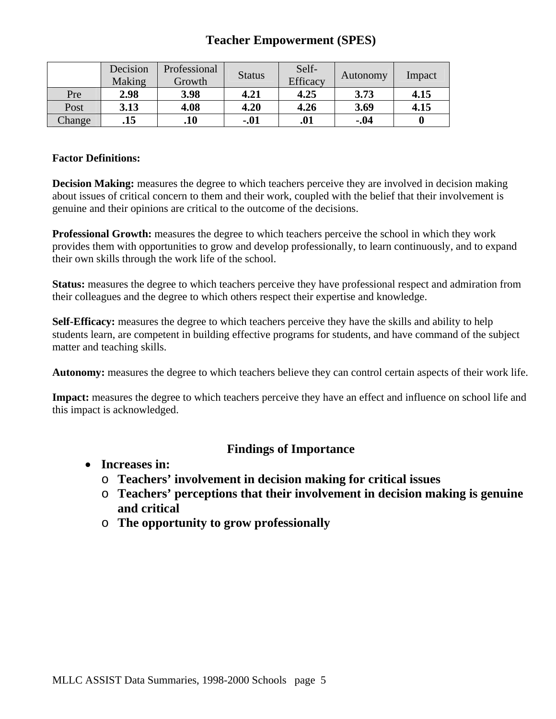## **Teacher Empowerment (SPES)**

|        | Decision<br>Making | Professional<br>Growth | <b>Status</b> | Self-<br><b>Efficacy</b> | Autonomy | Impact |
|--------|--------------------|------------------------|---------------|--------------------------|----------|--------|
| Pre    | 2.98               | 3.98                   | 4.21          | 4.25                     | 3.73     | 4.15   |
| Post   | 3.13               | 4.08                   | 4.20          | 4.26                     | 3.69     | 4.15   |
| Change | .15                | .10                    | $-.01$        | .01                      | $-.04$   |        |

#### **Factor Definitions:**

**Decision Making:** measures the degree to which teachers perceive they are involved in decision making about issues of critical concern to them and their work, coupled with the belief that their involvement is genuine and their opinions are critical to the outcome of the decisions.

**Professional Growth:** measures the degree to which teachers perceive the school in which they work provides them with opportunities to grow and develop professionally, to learn continuously, and to expand their own skills through the work life of the school.

**Status:** measures the degree to which teachers perceive they have professional respect and admiration from their colleagues and the degree to which others respect their expertise and knowledge.

**Self-Efficacy:** measures the degree to which teachers perceive they have the skills and ability to help students learn, are competent in building effective programs for students, and have command of the subject matter and teaching skills.

**Autonomy:** measures the degree to which teachers believe they can control certain aspects of their work life.

**Impact:** measures the degree to which teachers perceive they have an effect and influence on school life and this impact is acknowledged.

- **Increases in:** 
	- o **Teachers' involvement in decision making for critical issues**
	- o **Teachers' perceptions that their involvement in decision making is genuine and critical**
	- o **The opportunity to grow professionally**